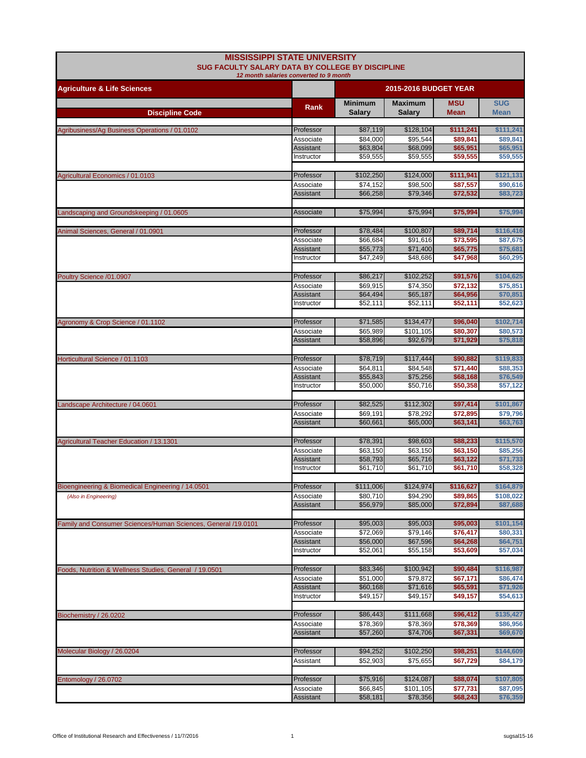| <b>MISSISSIPPI STATE UNIVERSITY</b><br><b>SUG FACULTY SALARY DATA BY COLLEGE BY DISCIPLINE</b><br>12 month salaries converted to 9 month |                         |                                 |                                 |                           |                           |
|------------------------------------------------------------------------------------------------------------------------------------------|-------------------------|---------------------------------|---------------------------------|---------------------------|---------------------------|
| <b>Agriculture &amp; Life Sciences</b>                                                                                                   |                         | <b>2015-2016 BUDGET YEAR</b>    |                                 |                           |                           |
|                                                                                                                                          | Rank                    | <b>Minimum</b><br><b>Salary</b> | <b>Maximum</b><br><b>Salary</b> | <b>MSU</b><br><b>Mean</b> | <b>SUG</b><br><b>Mean</b> |
| <b>Discipline Code</b>                                                                                                                   |                         |                                 |                                 |                           |                           |
| Agribusiness/Ag Business Operations / 01.0102                                                                                            | Professor               | \$87,119                        | \$128,104                       | \$111,241                 | \$111,241                 |
|                                                                                                                                          | Associate<br>Assistant  | \$84,000<br>\$63,804            | \$95,544<br>\$68,099            | \$89,841<br>\$65,951      | \$89,841<br>\$65,951      |
|                                                                                                                                          | Instructor              | \$59,555                        | \$59,555                        | \$59,555                  | \$59,555                  |
| Agricultural Economics / 01.0103                                                                                                         | Professor               | \$102,250                       | \$124,000                       | \$111,941                 | \$121,131                 |
|                                                                                                                                          | Associate               | \$74,152                        | \$98,500                        | \$87,557                  | \$90,616                  |
|                                                                                                                                          | Assistant               | \$66,258                        | \$79,346                        | \$72,532                  | \$83,723                  |
| Landscaping and Groundskeeping / 01.0605                                                                                                 | Associate               | \$75,994                        | \$75,994                        | \$75,994                  | \$75,994                  |
| Animal Sciences, General / 01.0901                                                                                                       | Professor               | \$78,484                        | \$100,807                       | \$89,714                  | \$116,416                 |
|                                                                                                                                          | Associate               | \$66,684                        | \$91,616                        | \$73,595                  | \$87,675                  |
|                                                                                                                                          | Assistant               | \$55,773                        | \$71,400                        | \$65,775                  | \$75,681                  |
|                                                                                                                                          | Instructor              | \$47.249                        | \$48.686                        | \$47,968                  | \$60,295                  |
| Poultry Science /01.0907                                                                                                                 | Professor               | \$86,217                        | \$102,252                       | \$91,576                  | \$104,625                 |
|                                                                                                                                          | Associate               | \$69,915                        | \$74,350                        | \$72,132                  | \$75,851                  |
|                                                                                                                                          | Assistant<br>Instructor | \$64,494<br>\$52.111            | \$65,187<br>\$52,111            | \$64,956<br>\$52,111      | \$70,851<br>\$52,623      |
|                                                                                                                                          |                         |                                 |                                 |                           |                           |
| Agronomy & Crop Science / 01.1102                                                                                                        | Professor               | \$71,585                        | \$134,477                       | \$96,040                  | \$102,714                 |
|                                                                                                                                          | Associate               | \$65,989                        | \$101,105                       | \$80,307                  | \$80,573                  |
|                                                                                                                                          | Assistant               | \$58,896                        | \$92,679                        | \$71,929                  | \$75,818                  |
| Horticultural Science / 01.1103                                                                                                          | Professor               | \$78,719                        | \$117,444                       | \$90,882                  | \$119,833                 |
|                                                                                                                                          | Associate               | \$64,811                        | \$84,548                        | \$71,440                  | \$88,353                  |
|                                                                                                                                          | Assistant<br>Instructor | \$55,843<br>\$50,000            | \$75,256<br>\$50,716            | \$68,168<br>\$50,358      | \$76,549<br>\$57,122      |
|                                                                                                                                          |                         |                                 |                                 |                           |                           |
| Landscape Architecture / 04.0601                                                                                                         | Professor               | \$82,525                        | \$112,302                       | \$97,414                  | \$101,867                 |
|                                                                                                                                          | Associate               | \$69,191                        | \$78,292                        | \$72,895                  | \$79,796                  |
|                                                                                                                                          | Assistant               | \$60,661                        | \$65,000                        | \$63,141                  | \$63,763                  |
| Agricultural Teacher Education / 13.1301                                                                                                 | Professor               | \$78,391                        | \$98,603                        | \$88,233                  | \$115,570                 |
|                                                                                                                                          | Associate               | \$63,150                        | \$63,150                        | \$63,150                  | \$85,256                  |
|                                                                                                                                          | Assistant<br>Instructor | \$58,793<br>\$61,710            | \$65,716<br>\$61,710            | \$63,122<br>\$61,710      | \$71,733<br>\$58,328      |
|                                                                                                                                          |                         |                                 |                                 |                           |                           |
| Bioengineering & Biomedical Engineering / 14.0501                                                                                        | Professor               | \$111,006                       | \$124,974                       | \$116,627                 | \$164,879                 |
| (Also in Engineering)                                                                                                                    | Associate<br>Assistant  | \$80,710<br>\$56,979            | \$94,290<br>\$85,000            | \$89,865<br>\$72,894      | \$108,022<br>\$87,688     |
|                                                                                                                                          |                         |                                 |                                 |                           |                           |
| Family and Consumer Sciences/Human Sciences, General /19.0101                                                                            | Professor               | \$95,003                        | \$95,003                        | \$95,003                  | \$101,154                 |
|                                                                                                                                          | Associate<br>Assistant  | \$72,069<br>\$56,000            | \$79,146<br>\$67,596            | \$76,417<br>\$64,268      | \$80,331<br>\$64,751      |
|                                                                                                                                          | Instructor              | \$52,061                        | \$55,158                        | \$53,609                  | \$57,034                  |
|                                                                                                                                          |                         |                                 |                                 |                           |                           |
| Foods, Nutrition & Wellness Studies, General / 19.0501                                                                                   | Professor<br>Associate  | \$83,346<br>\$51,000            | \$100,942<br>\$79,872           | \$90,484<br>\$67,171      | \$116,987<br>\$86,474     |
|                                                                                                                                          | Assistant               | \$60,168                        | \$71,616                        | \$65,591                  | \$71,926                  |
|                                                                                                                                          | Instructor              | \$49,157                        | \$49,157                        | \$49,157                  | \$54,613                  |
| Biochemistry / 26.0202                                                                                                                   | Professor               | \$86,443                        | \$111,668                       | \$96,412                  | \$135,427                 |
|                                                                                                                                          | Associate               | \$78,369                        | \$78,369                        | \$78,369                  | \$86,956                  |
|                                                                                                                                          | Assistant               | \$57,260                        | \$74,706                        | \$67,331                  | \$69,670                  |
| Molecular Biology / 26.0204                                                                                                              | Professor               | \$94,252                        | \$102,250                       | \$98,251                  | \$144,609                 |
|                                                                                                                                          | Assistant               | \$52,903                        | \$75,655                        | \$67,729                  | \$84,179                  |
|                                                                                                                                          |                         |                                 |                                 |                           |                           |
| Entomology / 26.0702                                                                                                                     | Professor               | \$75,916                        | \$124,087                       | \$88,074                  | \$107,805                 |
|                                                                                                                                          | Associate<br>Assistant  | \$66,845<br>\$58,181            | \$101,105<br>\$78,356           | \$77,731<br>\$68,243      | \$87,095<br>\$76,359      |
|                                                                                                                                          |                         |                                 |                                 |                           |                           |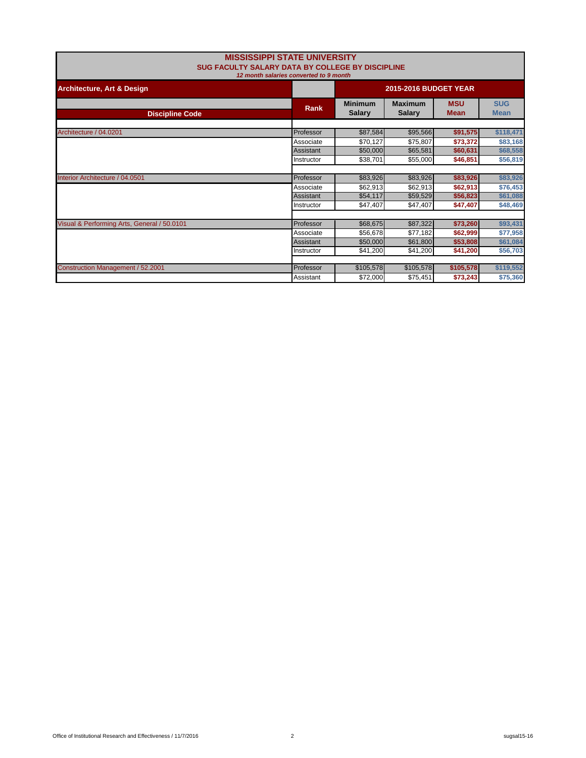| <b>MISSISSIPPI STATE UNIVERSITY</b><br>SUG FACULTY SALARY DATA BY COLLEGE BY DISCIPLINE<br>12 month salaries converted to 9 month |             |                                 |                           |                           |           |  |
|-----------------------------------------------------------------------------------------------------------------------------------|-------------|---------------------------------|---------------------------|---------------------------|-----------|--|
| <b>Architecture, Art &amp; Design</b>                                                                                             |             | <b>2015-2016 BUDGET YEAR</b>    |                           |                           |           |  |
| <b>Discipline Code</b>                                                                                                            | <b>Rank</b> | <b>Minimum</b><br><b>Salary</b> | <b>MSU</b><br><b>Mean</b> | <b>SUG</b><br><b>Mean</b> |           |  |
| Architecture / 04.0201                                                                                                            | Professor   | \$87,584                        | \$95,566                  | \$91,575                  | \$118,471 |  |
|                                                                                                                                   | Associate   | \$70,127                        | \$75,807                  | \$73,372                  | \$83,168  |  |
|                                                                                                                                   | Assistant   | \$50,000                        | \$65,581                  | \$60,631                  | \$68,558  |  |
|                                                                                                                                   | Instructor  | \$38,701                        | \$55,000                  | \$46,851                  | \$56,819  |  |
| Interior Architecture / 04.0501                                                                                                   | Professor   | \$83,926                        | \$83,926                  | \$83,926                  | \$83,926  |  |
|                                                                                                                                   | Associate   | \$62,913                        | \$62,913                  | \$62,913                  | \$76,453  |  |
|                                                                                                                                   | Assistant   | \$54,117                        | \$59,529                  | \$56,823                  | \$61,088  |  |
|                                                                                                                                   | Instructor  | \$47,407                        | \$47,407                  | \$47,407                  | \$48,469  |  |
| Visual & Performing Arts, General / 50.0101                                                                                       | Professor   | \$68,675                        | \$87,322                  | \$73,260                  | \$93,431  |  |
|                                                                                                                                   | Associate   | \$56,678                        | \$77,182                  | \$62,999                  | \$77,958  |  |
|                                                                                                                                   | Assistant   | \$50,000                        | \$61,800                  | \$53,808                  | \$61,084  |  |
|                                                                                                                                   | Instructor  | \$41,200                        | \$41,200                  | \$41,200                  | \$56,703  |  |
|                                                                                                                                   |             |                                 |                           |                           |           |  |
| Construction Management / 52.2001                                                                                                 | Professor   | \$105,578                       | \$105,578                 | \$105,578                 | \$119,552 |  |
|                                                                                                                                   | Assistant   | \$72,000                        | \$75,451                  | \$73,243                  | \$75,360  |  |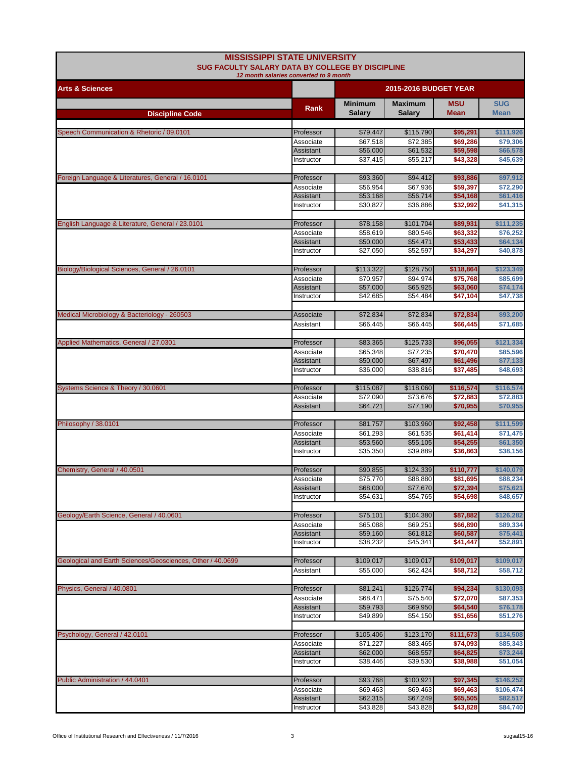| <b>MISSISSIPPI STATE UNIVERSITY</b><br><b>SUG FACULTY SALARY DATA BY COLLEGE BY DISCIPLINE</b><br>12 month salaries converted to 9 month |                         |                                 |                                 |                           |                           |
|------------------------------------------------------------------------------------------------------------------------------------------|-------------------------|---------------------------------|---------------------------------|---------------------------|---------------------------|
| <b>Arts &amp; Sciences</b>                                                                                                               |                         | <b>2015-2016 BUDGET YEAR</b>    |                                 |                           |                           |
| <b>Discipline Code</b>                                                                                                                   | Rank                    | <b>Minimum</b><br><b>Salary</b> | <b>Maximum</b><br><b>Salary</b> | <b>MSU</b><br><b>Mean</b> | <b>SUG</b><br><b>Mean</b> |
|                                                                                                                                          |                         |                                 |                                 |                           |                           |
| Speech Communication & Rhetoric / 09.0101                                                                                                | Professor               | \$79,447<br>\$67,518            | \$115,790                       | \$95,291                  | \$111,926                 |
|                                                                                                                                          | Associate<br>Assistant  | \$56,000                        | \$72,385<br>\$61,532            | \$69,286<br>\$59,598      | \$79,306<br>\$66,578      |
|                                                                                                                                          | Instructor              | \$37,415                        | \$55,217                        | \$43,328                  | \$45,639                  |
|                                                                                                                                          |                         |                                 |                                 |                           |                           |
| Foreign Language & Literatures, General / 16.0101                                                                                        | Professor<br>Associate  | \$93,360<br>\$56,954            | \$94,412<br>\$67,936            | \$93,886<br>\$59,397      | \$97,912<br>\$72,290      |
|                                                                                                                                          | Assistant               | \$53,168                        | \$56,714                        | \$54,168                  | \$61,416                  |
|                                                                                                                                          | Instructor              | \$30,827                        | \$36,886                        | \$32,992                  | \$41,315                  |
| English Language & Literature, General / 23.0101                                                                                         | Professor               | \$78,158                        | \$101,704                       | \$89,931                  | \$111,235                 |
|                                                                                                                                          | Associate               | \$58,619                        | \$80,546                        | \$63,332                  | \$76,252                  |
|                                                                                                                                          | Assistant               | \$50,000                        | \$54,471                        | \$53,433                  | \$64,134                  |
|                                                                                                                                          | Instructor              | \$27,050                        | \$52,597                        | \$34,297                  | \$40,878                  |
| Biology/Biological Sciences, General / 26.0101                                                                                           | Professor               | \$113,322                       | \$128,750                       | \$118,864                 | \$123,349                 |
|                                                                                                                                          | Associate               | \$70.957                        | \$94,974                        | \$75,768                  | \$85,699                  |
|                                                                                                                                          | Assistant               | \$57,000                        | \$65,925                        | \$63,060                  | \$74,174                  |
|                                                                                                                                          | Instructor              | \$42,685                        | \$54,484                        | \$47,104                  | \$47,738                  |
| Medical Microbiology & Bacteriology - 260503                                                                                             | Associate               | \$72,834                        | \$72,834                        | \$72,834                  | \$93,200                  |
|                                                                                                                                          | Assistant               | \$66,445                        | \$66,445                        | \$66.445                  | \$71,685                  |
|                                                                                                                                          |                         |                                 |                                 |                           |                           |
| Applied Mathematics, General / 27.0301                                                                                                   | Professor               | \$83,365                        | \$125,733                       | \$96,055                  | \$121,334                 |
|                                                                                                                                          | Associate               | \$65,348                        | \$77,235                        | \$70,470                  | \$85,596                  |
|                                                                                                                                          | Assistant<br>Instructor | \$50,000<br>\$36,000            | \$67,497<br>\$38,816            | \$61,496<br>\$37,485      | \$77,133<br>\$48,693      |
|                                                                                                                                          |                         |                                 |                                 |                           |                           |
| Systems Science & Theory / 30.0601                                                                                                       | Professor               | \$115,087                       | \$118,060                       | \$116,574                 | \$116,574                 |
|                                                                                                                                          | Associate               | \$72,090                        | \$73,676                        | \$72,883                  | \$72,883                  |
|                                                                                                                                          | Assistant               | \$64,721                        | \$77,190                        | \$70,955                  | \$70,955                  |
| Philosophy / 38.0101                                                                                                                     | Professor               | \$81,757                        | \$103,960                       | \$92,458                  | \$111,599                 |
|                                                                                                                                          | Associate               | \$61,293                        | \$61,535                        | \$61,414                  | \$71,475                  |
|                                                                                                                                          | Assistant               | \$53,560                        | \$55,105                        | \$54,255                  | \$61,350                  |
|                                                                                                                                          | Instructor              | \$35,350                        | \$39,889                        | \$36,863                  | \$38,156                  |
| Chemistry, General / 40.0501                                                                                                             | Professor               | \$90,855                        | \$124,339                       | \$110,777                 | \$140,079                 |
|                                                                                                                                          | Associate               | \$75,770                        | \$88,880                        | \$81,695                  | \$88,234                  |
|                                                                                                                                          | Assistant               | \$68,000                        | \$77,670                        | \$72,394                  | \$75,621                  |
|                                                                                                                                          | Instructor              | \$54,631                        | \$54,765                        | \$54,698                  | \$48,657                  |
| Geology/Earth Science, General / 40.0601                                                                                                 | Professor               | \$75,101                        | \$104,380                       | \$87,882                  | \$126,282                 |
|                                                                                                                                          | Associate               | \$65,088                        | \$69,251                        | \$66,890                  | \$89,334                  |
|                                                                                                                                          | Assistant               | \$59,160                        | \$61,812                        | \$60,587                  | \$75,441                  |
|                                                                                                                                          | Instructor              | \$38,232                        | \$45,341                        | \$41,447                  | \$52,891                  |
| Geological and Earth Sciences/Geosciences, Other / 40.0699                                                                               | Professor               | \$109,017                       | \$109,017                       | \$109,017                 | \$109,017                 |
|                                                                                                                                          | Assistant               | \$55.000                        | \$62,424                        | \$58,712                  | \$58,712                  |
|                                                                                                                                          |                         |                                 |                                 |                           |                           |
| Physics, General / 40.0801                                                                                                               | Professor               | \$81,241<br>\$68,471            | \$126,774<br>\$75,540           | \$94,234<br>\$72,070      | \$130,093<br>\$87,353     |
|                                                                                                                                          | Associate<br>Assistant  | \$59,793                        | \$69,950                        | \$64,540                  | \$76,178                  |
|                                                                                                                                          | Instructor              | \$49,899                        | \$54,150                        | \$51,656                  | \$51,276                  |
|                                                                                                                                          |                         |                                 |                                 |                           |                           |
| Psychology, General / 42.0101                                                                                                            | Professor<br>Associate  | \$105,406<br>\$71,227           | \$123,170<br>\$83,465           | \$111,673<br>\$74,093     | \$134,508<br>\$85,343     |
|                                                                                                                                          | Assistant               | \$62,000                        | \$68,557                        | \$64,825                  | \$73,244                  |
|                                                                                                                                          | Instructor              | \$38,446                        | \$39,530                        | \$38,988                  | \$51,054                  |
|                                                                                                                                          |                         |                                 |                                 |                           |                           |
| Public Administration / 44.0401                                                                                                          | Professor<br>Associate  | \$93,768<br>\$69,463            | \$100,921<br>\$69,463           | \$97,345<br>\$69,463      | \$146,252<br>\$106,474    |
|                                                                                                                                          | Assistant               | \$62,315                        | \$67,249                        | \$65,505                  | \$82,517                  |
|                                                                                                                                          | Instructor              | \$43,828                        | \$43,828                        | \$43,828                  | \$84,740                  |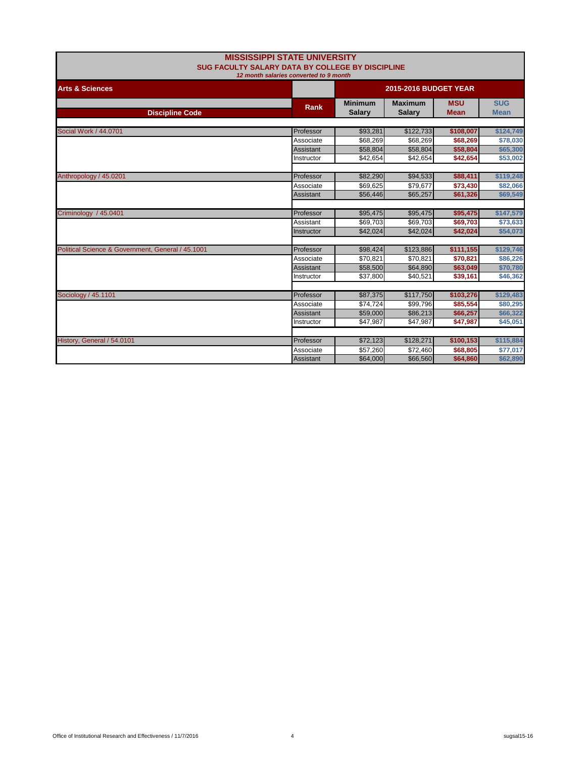| <b>MISSISSIPPI STATE UNIVERSITY</b><br>SUG FACULTY SALARY DATA BY COLLEGE BY DISCIPLINE |             |                                 |                                 |                           |                           |  |  |
|-----------------------------------------------------------------------------------------|-------------|---------------------------------|---------------------------------|---------------------------|---------------------------|--|--|
| 12 month salaries converted to 9 month                                                  |             |                                 |                                 |                           |                           |  |  |
| <b>Arts &amp; Sciences</b>                                                              |             |                                 | <b>2015-2016 BUDGET YEAR</b>    |                           |                           |  |  |
| <b>Discipline Code</b>                                                                  | <b>Rank</b> | <b>Minimum</b><br><b>Salary</b> | <b>Maximum</b><br><b>Salary</b> | <b>MSU</b><br><b>Mean</b> | <b>SUG</b><br><b>Mean</b> |  |  |
|                                                                                         |             |                                 |                                 |                           |                           |  |  |
| Social Work / 44.0701                                                                   | Professor   | \$93,281                        | \$122,733                       | \$108,007                 | \$124,749                 |  |  |
|                                                                                         | Associate   | \$68,269                        | \$68,269                        | \$68,269                  | \$78,030                  |  |  |
|                                                                                         | Assistant   | \$58,804                        | \$58,804                        | \$58,804                  | \$65,300                  |  |  |
|                                                                                         | Instructor  | \$42.654                        | \$42,654                        | \$42,654                  | \$53,002                  |  |  |
| Anthropology / 45.0201                                                                  | Professor   | \$82,290                        | \$94,533                        | \$88,411                  | \$119,248                 |  |  |
|                                                                                         | Associate   | \$69.625                        | \$79,677                        | \$73,430                  | \$82,066                  |  |  |
|                                                                                         | Assistant   | \$56,446                        | \$65,257                        | \$61,326                  | \$69,549                  |  |  |
| Criminology / 45.0401                                                                   | Professor   | \$95,475                        | \$95,475                        | \$95,475                  | \$147,579                 |  |  |
|                                                                                         | Assistant   | \$69.703                        | \$69,703                        | \$69,703                  | \$73,633                  |  |  |
|                                                                                         | Instructor  | \$42,024                        | \$42,024                        | \$42,024                  | \$54,073                  |  |  |
| Political Science & Government, General / 45.1001                                       | Professor   | \$98,424                        | \$123,886                       | \$111,155                 | \$129,746                 |  |  |
|                                                                                         | Associate   | \$70,821                        | \$70,821                        | \$70,821                  | \$86,226                  |  |  |
|                                                                                         | Assistant   | \$58,500                        | \$64,890                        | \$63,049                  | \$70,780                  |  |  |
|                                                                                         | Instructor  | \$37,800                        | \$40,521                        | \$39,161                  | \$46,362                  |  |  |
| Sociology / 45.1101                                                                     | Professor   | \$87,375                        | \$117,750                       | \$103,276                 | \$129,483                 |  |  |
|                                                                                         | Associate   | \$74,724                        | \$99,796                        | \$85,554                  | \$80,295                  |  |  |
|                                                                                         | Assistant   | \$59,000                        | \$86,213                        | \$66,257                  | \$66,322                  |  |  |
|                                                                                         | Instructor  | \$47,987                        | \$47,987                        | \$47,987                  | \$45,051                  |  |  |
| History, General / 54.0101                                                              | Professor   | \$72,123                        | \$128,271                       | \$100,153                 | \$115,884                 |  |  |
|                                                                                         | Associate   | \$57,260                        | \$72,460                        | \$68,805                  | \$77,017                  |  |  |
|                                                                                         | Assistant   | \$64,000                        | \$66,560                        | \$64,860                  | \$62,890                  |  |  |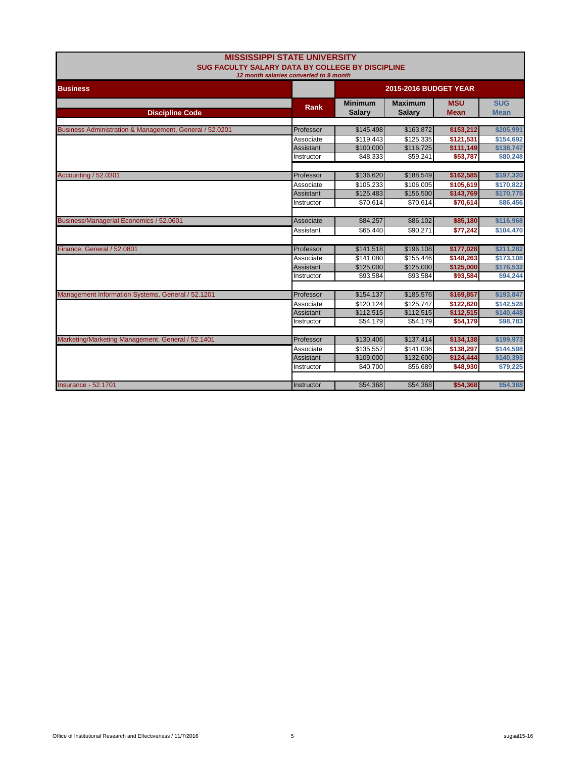| <b>MISSISSIPPI STATE UNIVERSITY</b><br>SUG FACULTY SALARY DATA BY COLLEGE BY DISCIPLINE<br>12 month salaries converted to 9 month |            |                                 |                                 |                           |                           |
|-----------------------------------------------------------------------------------------------------------------------------------|------------|---------------------------------|---------------------------------|---------------------------|---------------------------|
| <b>Business</b>                                                                                                                   |            | <b>2015-2016 BUDGET YEAR</b>    |                                 |                           |                           |
| <b>Discipline Code</b>                                                                                                            | Rank       | <b>Minimum</b><br><b>Salary</b> | <b>Maximum</b><br><b>Salary</b> | <b>MSU</b><br><b>Mean</b> | <b>SUG</b><br><b>Mean</b> |
| Business Administration & Management, General / 52.0201                                                                           | Professor  | \$145,498                       | \$163,872                       | \$153,212                 | \$205,991                 |
|                                                                                                                                   | Associate  | \$119,443                       | \$125,335                       | \$121,531                 | \$154,692                 |
|                                                                                                                                   | Assistant  | \$100,000                       | \$116,725                       | \$111,149                 | \$138,747                 |
|                                                                                                                                   | Instructor | \$48,333                        | \$59,241                        | \$53,787                  | \$80,248                  |
|                                                                                                                                   |            |                                 |                                 |                           |                           |
| Accounting / 52.0301                                                                                                              | Professor  | \$136,620                       | \$188,549                       | \$162,585                 | \$197,320                 |
|                                                                                                                                   | Associate  | \$105,233                       | \$106,005                       | \$105,619                 | \$170,822                 |
|                                                                                                                                   | Assistant  | \$125,483                       | \$156,500                       | \$143,769                 | \$170,775                 |
|                                                                                                                                   | Instructor | \$70,614                        | \$70,614                        | \$70,614                  | \$86,456                  |
|                                                                                                                                   |            |                                 |                                 |                           |                           |
| Business/Managerial Economics / 52.0601                                                                                           | Associate  | \$84,257                        | \$86,102                        | \$85,180                  | \$116,968                 |
|                                                                                                                                   | Assistant  | \$65.440                        | \$90.271                        | \$77,242                  | \$104,470                 |
| Finance, General / 52.0801                                                                                                        | Professor  | \$141,518                       | \$196,108                       | \$177,028                 | \$211,282                 |
|                                                                                                                                   | Associate  | \$141,080                       | \$155,446                       | \$148,263                 | \$173,108                 |
|                                                                                                                                   | Assistant  | \$125,000                       | \$125,000                       | \$125,000                 | \$176,532                 |
|                                                                                                                                   | Instructor | \$93,584                        | \$93,584                        | \$93,584                  | \$94,244                  |
|                                                                                                                                   |            |                                 |                                 |                           |                           |
| Management Information Systems, General / 52.1201                                                                                 | Professor  | \$154,137                       | \$185,576                       | \$169,857                 | \$193,847                 |
|                                                                                                                                   | Associate  | \$120,124                       | \$125,747                       | \$122,820                 | \$142,528                 |
|                                                                                                                                   | Assistant  | \$112,515                       | \$112,515                       | \$112,515                 | \$140,448                 |
|                                                                                                                                   | Instructor | \$54,179                        | \$54,179                        | \$54,179                  | \$98,783                  |
|                                                                                                                                   |            |                                 |                                 |                           |                           |
| Marketing/Marketing Management, General / 52.1401                                                                                 | Professor  | \$130,406                       | \$137,414                       | \$134,138                 | \$199,973                 |
|                                                                                                                                   | Associate  | \$135,557                       | \$141,036                       | \$138,297                 | \$144,598                 |
|                                                                                                                                   | Assistant  | \$109,000                       | \$132,600                       | \$124,444                 | \$140,393                 |
|                                                                                                                                   | Instructor | \$40,700                        | \$56,689                        | \$48,930                  | \$79,225                  |
| <b>Insurance - 52.1701</b>                                                                                                        | Instructor | \$54,368                        | \$54,368                        | \$54,368                  | \$54,368                  |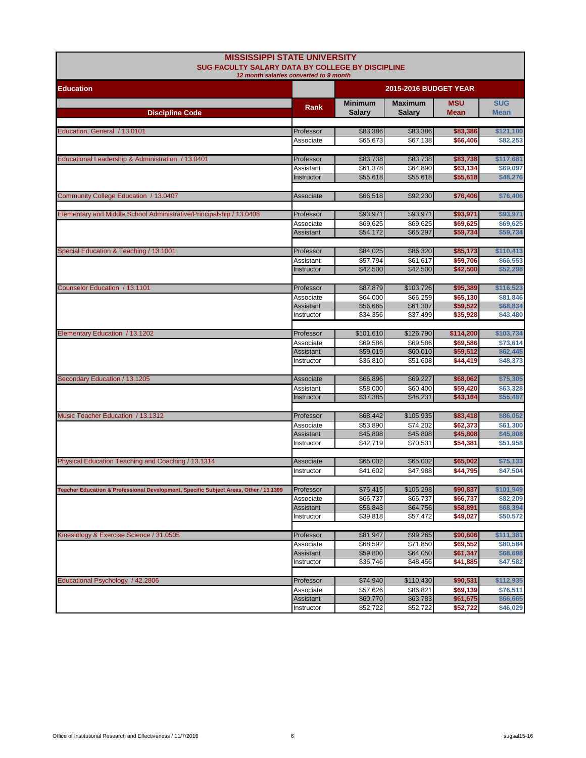| <b>MISSISSIPPI STATE UNIVERSITY</b><br><b>SUG FACULTY SALARY DATA BY COLLEGE BY DISCIPLINE</b><br>12 month salaries converted to 9 month |                        |                                 |                                 |                           |                           |  |
|------------------------------------------------------------------------------------------------------------------------------------------|------------------------|---------------------------------|---------------------------------|---------------------------|---------------------------|--|
| <b>Education</b>                                                                                                                         |                        | <b>2015-2016 BUDGET YEAR</b>    |                                 |                           |                           |  |
| <b>Discipline Code</b>                                                                                                                   | Rank                   | <b>Minimum</b><br><b>Salary</b> | <b>Maximum</b><br><b>Salary</b> | <b>MSU</b><br><b>Mean</b> | <b>SUG</b><br><b>Mean</b> |  |
| Education, General / 13.0101                                                                                                             | Professor              | \$83,386                        | \$83,386                        | \$83,386                  | \$121,100                 |  |
|                                                                                                                                          | Associate              | \$65,673                        | \$67,138                        | \$66,406                  | \$82,253                  |  |
| Educational Leadership & Administration / 13.0401                                                                                        | Professor              | \$83,738                        | \$83,738                        | \$83,738                  | \$117,681                 |  |
|                                                                                                                                          | Assistant              | \$61,378                        | \$64,890                        | \$63,134                  | \$69,097                  |  |
|                                                                                                                                          | Instructor             | \$55,618                        | \$55,618                        | \$55,618                  | \$48,276                  |  |
| Community College Education / 13.0407                                                                                                    | Associate              | \$66,518                        | \$92,230                        | \$76,406                  | \$76,406                  |  |
| Elementary and Middle School Administrative/Principalship / 13.0408                                                                      | Professor              | \$93,971                        | \$93,971                        | \$93,971                  | \$93,971                  |  |
|                                                                                                                                          | Associate              | \$69,625                        | \$69,625                        | \$69,625                  | \$69,625                  |  |
|                                                                                                                                          | Assistant              | \$54,172                        | \$65,297                        | \$59,734                  | \$59,734                  |  |
| Special Education & Teaching / 13.1001                                                                                                   | Professor              | \$84,025                        | \$86,320                        | \$85,173                  | \$110,413                 |  |
|                                                                                                                                          | Assistant              | \$57,794                        | \$61.617                        | \$59,706                  | \$66,553                  |  |
|                                                                                                                                          | Instructor             | \$42,500                        | \$42,500                        | \$42,500                  | \$52,298                  |  |
| Counselor Education / 13.1101                                                                                                            | Professor              | \$87,879                        | \$103,726                       | \$95,389                  | \$116,523                 |  |
|                                                                                                                                          | Associate              | \$64,000                        | \$66,259                        | \$65,130                  | \$81,846                  |  |
|                                                                                                                                          | Assistant              | \$56.665                        | \$61,307                        | \$59,522                  | \$68,834                  |  |
|                                                                                                                                          | Instructor             | \$34,356                        | \$37,499                        | \$35,928                  | \$43,480                  |  |
| Elementary Education / 13.1202                                                                                                           | Professor              | \$101,610                       | \$126,790                       | \$114,200                 | \$103,734                 |  |
|                                                                                                                                          | Associate              | \$69,586                        | \$69,586                        | \$69,586                  | \$73,614                  |  |
|                                                                                                                                          | Assistant              | \$59,019                        | \$60,010                        | \$59,512                  | \$62,445                  |  |
|                                                                                                                                          | Instructor             | \$36,810                        | \$51,608                        | \$44,419                  | \$48,373                  |  |
| Secondary Education / 13.1205                                                                                                            | Associate              | \$66,896                        | \$69,227                        | \$68,062                  | \$75,305                  |  |
|                                                                                                                                          | Assistant              | \$58,000                        | \$60,400                        | \$59,420                  | \$63,328                  |  |
|                                                                                                                                          | Instructor             | \$37,385                        | \$48,231                        | \$43,164                  | \$55,487                  |  |
| Music Teacher Education / 13.1312                                                                                                        | Professor              | \$68,442                        | \$105,935                       | \$83,418                  | \$86,052                  |  |
|                                                                                                                                          | Associate              | \$53,890                        | \$74,202                        | \$62,373                  | \$61,300                  |  |
|                                                                                                                                          | Assistant              | \$45,808                        | \$45,808                        | \$45,808                  | \$45,808                  |  |
|                                                                                                                                          | Instructor             | \$42,719                        | \$70,531                        | \$54,381                  | \$51,958                  |  |
| Physical Education Teaching and Coaching / 13.1314                                                                                       | Associate              | \$65,002                        | \$65,002                        | \$65,002                  | \$75,133                  |  |
|                                                                                                                                          | Instructor             | \$41,602                        | \$47,988                        | \$44,795                  | \$47,504                  |  |
|                                                                                                                                          |                        |                                 |                                 |                           |                           |  |
| Teacher Education & Professional Development, Specific Subject Areas, Other / 13.1399                                                    | Professor<br>Associate | \$75,415<br>\$66,737            | \$105,298<br>\$66,737           | \$90,837<br>\$66,737      | \$101,949<br>\$82,209     |  |
|                                                                                                                                          | Assistant              | \$56,843                        | \$64,756                        | \$58,891                  | \$68,394                  |  |
|                                                                                                                                          | Instructor             | \$39,818                        | \$57,472                        | \$49,027                  | \$50,572                  |  |
|                                                                                                                                          |                        |                                 |                                 |                           |                           |  |
| Kinesiology & Exercise Science / 31.0505                                                                                                 | Professor<br>Associate | \$81,947<br>\$68,592            | \$99,265<br>\$71,850            | \$90,606<br>\$69,552      | \$111,381<br>\$80,584     |  |
|                                                                                                                                          | Assistant              | \$59,800                        | \$64,050                        | \$61,347                  | \$68,698                  |  |
|                                                                                                                                          | Instructor             | \$36,746                        | \$48,456                        | \$41,885                  | \$47,582                  |  |
| Educational Psychology / 42.2806                                                                                                         |                        | \$74,940                        | \$110,430                       | \$90,531                  | \$112,935                 |  |
|                                                                                                                                          | Professor<br>Associate | \$57,626                        | \$86,821                        | \$69,139                  | \$76,511                  |  |
|                                                                                                                                          | Assistant              | \$60,770                        | \$63,783                        | \$61,675                  | \$66,665                  |  |
|                                                                                                                                          | Instructor             | \$52,722                        | \$52,722                        | \$52,722                  | \$46,029                  |  |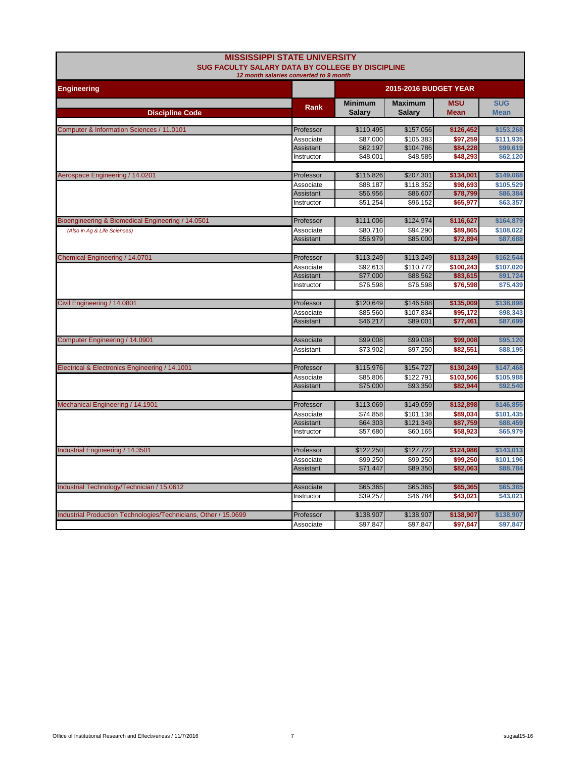| <b>MISSISSIPPI STATE UNIVERSITY</b><br>SUG FACULTY SALARY DATA BY COLLEGE BY DISCIPLINE<br>12 month salaries converted to 9 month |                  |                                 |                                 |                           |                           |  |
|-----------------------------------------------------------------------------------------------------------------------------------|------------------|---------------------------------|---------------------------------|---------------------------|---------------------------|--|
| <b>Engineering</b>                                                                                                                |                  |                                 | <b>2015-2016 BUDGET YEAR</b>    |                           |                           |  |
| <b>Discipline Code</b>                                                                                                            | Rank             | <b>Minimum</b><br><b>Salary</b> | <b>Maximum</b><br><b>Salary</b> | <b>MSU</b><br><b>Mean</b> | <b>SUG</b><br><b>Mean</b> |  |
|                                                                                                                                   |                  |                                 |                                 |                           |                           |  |
| Computer & Information Sciences / 11.0101                                                                                         | Professor        | \$110,495                       | \$157,056                       | \$126,452                 | \$153,268                 |  |
|                                                                                                                                   | Associate        | \$87.000                        | \$105,383                       | \$97,259                  | \$111,935                 |  |
|                                                                                                                                   | Assistant        | \$62,197<br>\$48,001            | \$104,786<br>\$48,585           | \$84,228<br>\$48,293      | \$99,619                  |  |
|                                                                                                                                   | Instructor       |                                 |                                 |                           | \$62,120                  |  |
| Aerospace Engineering / 14.0201                                                                                                   | Professor        | \$115,826                       | \$207,301                       | \$134,001                 | \$149,068                 |  |
|                                                                                                                                   | Associate        | \$88,187                        | \$118,352                       | \$98,693                  | \$105,529                 |  |
|                                                                                                                                   | Assistant        | \$56,956                        | \$86,607                        | \$78,799                  | \$86,384                  |  |
|                                                                                                                                   | Instructor       | \$51,254                        | \$96,152                        | \$65,977                  | \$63,357                  |  |
|                                                                                                                                   |                  |                                 |                                 |                           |                           |  |
| Bioengineering & Biomedical Engineering / 14.0501                                                                                 | Professor        | \$111,006                       | \$124,974                       | \$116,627                 | \$164,879                 |  |
| (Also in Ag & Life Sciences)                                                                                                      | Associate        | \$80,710                        | \$94,290                        | \$89,865                  | \$108,022                 |  |
|                                                                                                                                   | Assistant        | \$56,979                        | \$85,000                        | \$72,894                  | \$87,688                  |  |
| Chemical Engineering / 14.0701                                                                                                    | Professor        | \$113,249                       | \$113,249                       | \$113,249                 | \$162,544                 |  |
|                                                                                                                                   | Associate        | \$92,613                        | \$110,772                       | \$100,243                 | \$107,020                 |  |
|                                                                                                                                   | Assistant        | \$77,000                        | \$88,562                        | \$83,615                  | \$91,724                  |  |
|                                                                                                                                   | Instructor       | \$76,598                        | \$76,598                        | \$76,598                  | \$75,439                  |  |
|                                                                                                                                   |                  |                                 |                                 |                           |                           |  |
| Civil Engineering / 14.0801                                                                                                       | Professor        | \$120,649                       | \$146,588                       | \$135,009                 | \$138,898                 |  |
|                                                                                                                                   | Associate        | \$85.560                        | \$107.834                       | \$95.172                  | \$98,343                  |  |
|                                                                                                                                   | <b>Assistant</b> | \$46,217                        | \$89,001                        | \$77,461                  | \$87,699                  |  |
| Computer Engineering / 14.0901                                                                                                    | Associate        | \$99,008                        | \$99,008                        | \$99,008                  | \$95,120                  |  |
|                                                                                                                                   | Assistant        | \$73,902                        | \$97,250                        | \$82,551                  | \$88,195                  |  |
|                                                                                                                                   |                  |                                 |                                 |                           |                           |  |
| Electrical & Electronics Engineering / 14.1001                                                                                    | Professor        | \$115,976                       | \$154,727                       | \$130,249                 | \$147,468                 |  |
|                                                                                                                                   | Associate        | \$85,806                        | \$122,791                       | \$103,506                 | \$105,988                 |  |
|                                                                                                                                   | Assistant        | \$75,000                        | \$93,350                        | \$82,944                  | \$92,540                  |  |
|                                                                                                                                   |                  |                                 |                                 |                           |                           |  |
| Mechanical Engineering / 14.1901                                                                                                  | Professor        | \$113,069                       | \$149,059                       | \$132,898                 | \$146,855                 |  |
|                                                                                                                                   | Associate        | \$74,858                        | \$101,138                       | \$89,034                  | \$101,435                 |  |
|                                                                                                                                   | Assistant        | \$64,303                        | \$121,349                       | \$87,759                  | \$88,459                  |  |
|                                                                                                                                   | Instructor       | \$57,680                        | \$60,165                        | \$58,923                  | \$65,979                  |  |
| Industrial Engineering / 14.3501                                                                                                  | Professor        | \$122,250                       | \$127,722                       | \$124,986                 | \$143,013                 |  |
|                                                                                                                                   | Associate        | \$99,250                        | \$99,250                        | \$99,250                  | \$101,196                 |  |
|                                                                                                                                   | Assistant        | \$71,447                        | \$89,350                        | \$82,063                  | \$88,784                  |  |
|                                                                                                                                   |                  |                                 |                                 |                           |                           |  |
| Industrial Technology/Technician / 15.0612                                                                                        | Associate        | \$65,365                        | \$65,365                        | \$65,365                  | \$65,365                  |  |
|                                                                                                                                   | Instructor       | \$39,257                        | \$46,784                        | \$43,021                  | \$43,021                  |  |
|                                                                                                                                   |                  |                                 |                                 |                           |                           |  |
| Industrial Production Technologies/Technicians, Other / 15.0699                                                                   | Professor        | \$138,907                       | \$138,907                       | \$138,907                 | \$138,907                 |  |
|                                                                                                                                   | Associate        | \$97,847                        | \$97,847                        | \$97,847                  | \$97,847                  |  |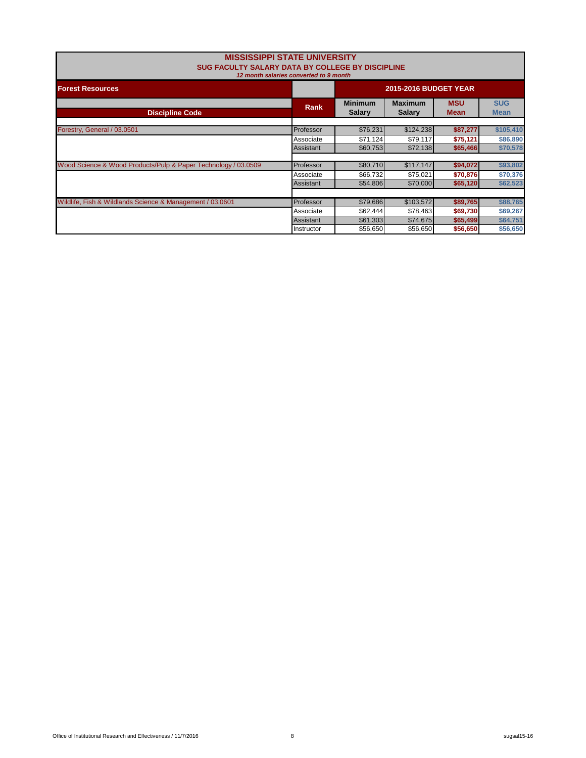| <b>MISSISSIPPI STATE UNIVERSITY</b><br>SUG FACULTY SALARY DATA BY COLLEGE BY DISCIPLINE<br>12 month salaries converted to 9 month |             |                                 |                           |          |           |  |
|-----------------------------------------------------------------------------------------------------------------------------------|-------------|---------------------------------|---------------------------|----------|-----------|--|
| <b>Forest Resources</b>                                                                                                           |             | <b>2015-2016 BUDGET YEAR</b>    |                           |          |           |  |
| <b>Discipline Code</b>                                                                                                            | <b>Rank</b> | <b>Minimum</b><br><b>Salary</b> | <b>SUG</b><br><b>Mean</b> |          |           |  |
| Forestry, General / 03.0501                                                                                                       | Professor   | \$76,231                        | \$124,238                 | \$87,277 | \$105,410 |  |
|                                                                                                                                   | Associate   | \$71,124                        | \$79,117                  | \$75,121 | \$86,890  |  |
|                                                                                                                                   | Assistant   | \$60,753                        | \$72,138                  | \$65,466 | \$70,578  |  |
| Wood Science & Wood Products/Pulp & Paper Technology / 03.0509                                                                    | Professor   | \$80,710                        | \$117,147                 | \$94,072 | \$93,802  |  |
|                                                                                                                                   | Associate   | \$66,732                        | \$75,021                  | \$70,876 | \$70,376  |  |
|                                                                                                                                   | Assistant   | \$54,806                        | \$70,000                  | \$65,120 | \$62,523  |  |
| Wildlife, Fish & Wildlands Science & Management / 03.0601                                                                         | Professor   | \$79,686                        | \$103,572                 | \$89,765 | \$88,765  |  |
|                                                                                                                                   | Associate   | \$62,444                        | \$78,463                  | \$69,730 | \$69,267  |  |
|                                                                                                                                   | Assistant   | \$61,303                        | \$74,675                  | \$65,499 | \$64,751  |  |
|                                                                                                                                   | Instructor  | \$56,650                        | \$56,650                  | \$56,650 | \$56,650  |  |